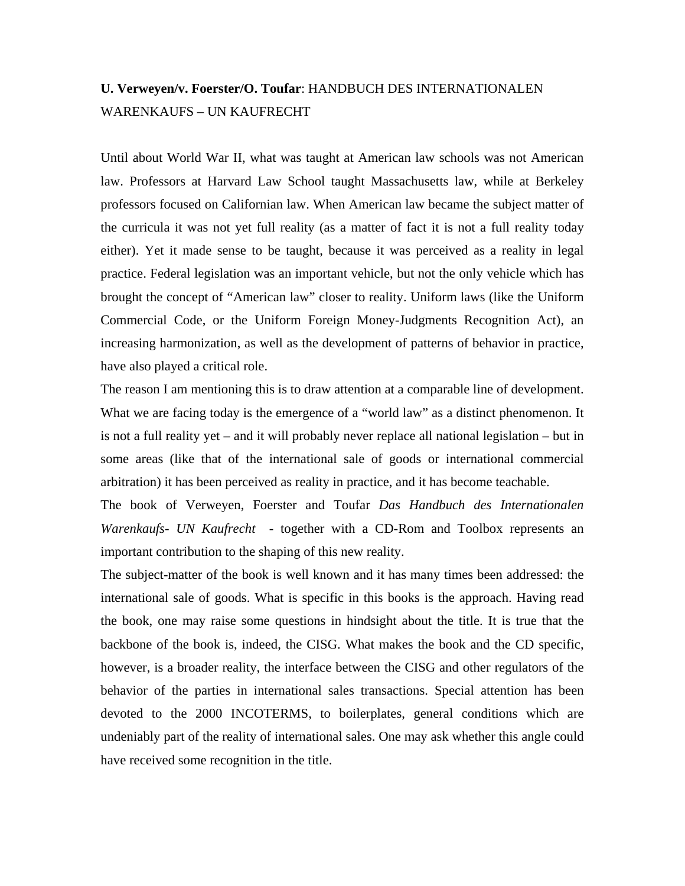## **U. Verweyen/v. Foerster/O. Toufar**: HANDBUCH DES INTERNATIONALEN WARENKAUFS – UN KAUFRECHT

Until about World War II, what was taught at American law schools was not American law. Professors at Harvard Law School taught Massachusetts law, while at Berkeley professors focused on Californian law. When American law became the subject matter of the curricula it was not yet full reality (as a matter of fact it is not a full reality today either). Yet it made sense to be taught, because it was perceived as a reality in legal practice. Federal legislation was an important vehicle, but not the only vehicle which has brought the concept of "American law" closer to reality. Uniform laws (like the Uniform Commercial Code, or the Uniform Foreign Money-Judgments Recognition Act), an increasing harmonization, as well as the development of patterns of behavior in practice, have also played a critical role.

The reason I am mentioning this is to draw attention at a comparable line of development. What we are facing today is the emergence of a "world law" as a distinct phenomenon. It is not a full reality yet – and it will probably never replace all national legislation – but in some areas (like that of the international sale of goods or international commercial arbitration) it has been perceived as reality in practice, and it has become teachable.

The book of Verweyen, Foerster and Toufar *Das Handbuch des Internationalen Warenkaufs- UN Kaufrecht* - together with a CD-Rom and Toolbox represents an important contribution to the shaping of this new reality.

The subject-matter of the book is well known and it has many times been addressed: the international sale of goods. What is specific in this books is the approach. Having read the book, one may raise some questions in hindsight about the title. It is true that the backbone of the book is, indeed, the CISG. What makes the book and the CD specific, however, is a broader reality, the interface between the CISG and other regulators of the behavior of the parties in international sales transactions. Special attention has been devoted to the 2000 INCOTERMS, to boilerplates, general conditions which are undeniably part of the reality of international sales. One may ask whether this angle could have received some recognition in the title.